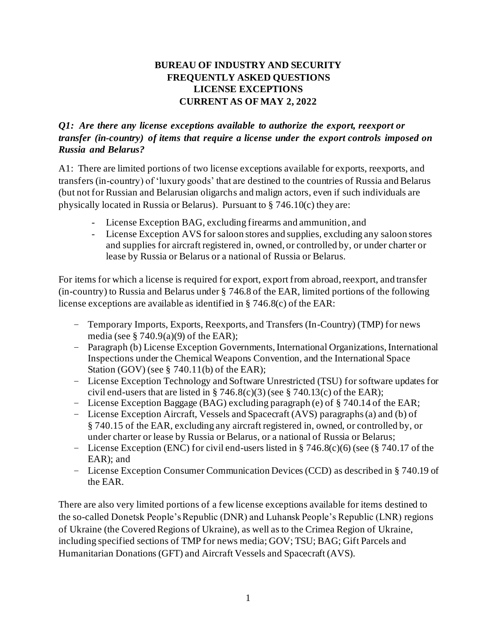# **BUREAU OF INDUSTRY AND SECURITY FREQUENTLY ASKED QUESTIONS LICENSE EXCEPTIONS CURRENT AS OF MAY 2, 2022**

## *Q1: Are there any license exceptions available to authorize the export, reexport or transfer (in-country) of items that require a license under the export controls imposed on Russia and Belarus?*

A1: There are limited portions of two license exceptions available for exports, reexports, and transfers (in-country) of 'luxury goods' that are destined to the countries of Russia and Belarus (but not for Russian and Belarusian oligarchs and malign actors, even if such individuals are physically located in Russia or Belarus). Pursuant to § 746.10(c) they are:

- License Exception BAG, excluding firearms and ammunition, and
- License Exception AVS for saloon stores and supplies, excluding any saloon stores and supplies for aircraft registered in, owned, or controlled by, or under charter or lease by Russia or Belarus or a national of Russia or Belarus.

For items for which a license is required for export, export from abroad, reexport, and transfer (in-country) to Russia and Belarus under § 746.8 of the EAR, limited portions of the following license exceptions are available as identified in § 746.8(c) of the EAR:

- Temporary Imports, Exports, Reexports, and Transfers (In-Country) (TMP) for news media (see  $\S$  740.9(a)(9) of the EAR):
- Paragraph (b) License Exception Governments, International Organizations, International Inspections under the Chemical Weapons Convention, and the International Space Station (GOV) (see § 740.11(b) of the EAR);
- License Exception Technology and Software Unrestricted (TSU) for software updates for civil end-users that are listed in § 746.8(c)(3) (see § 740.13(c) of the EAR);
- License Exception Baggage (BAG) excluding paragraph (e) of § 740.14 of the EAR;
- License Exception Aircraft, Vessels and Spacecraft (AVS) paragraphs (a) and (b) of § 740.15 of the EAR, excluding any aircraft registered in, owned, or controlled by, or under charter or lease by Russia or Belarus, or a national of Russia or Belarus;
- License Exception (ENC) for civil end-users listed in § 746.8(c)(6) (see (§ 740.17 of the EAR); and
- License Exception Consumer Communication Devices (CCD) as described in § 740.19 of the EAR.

There are also very limited portions of a few license exceptions available for items destined to the so-called Donetsk People's Republic (DNR) and Luhansk People's Republic (LNR) regions of Ukraine (the Covered Regions of Ukraine), as well as to the Crimea Region of Ukraine, including specified sections of TMP for news media; GOV; TSU; BAG; Gift Parcels and Humanitarian Donations (GFT) and Aircraft Vessels and Spacecraft (AVS).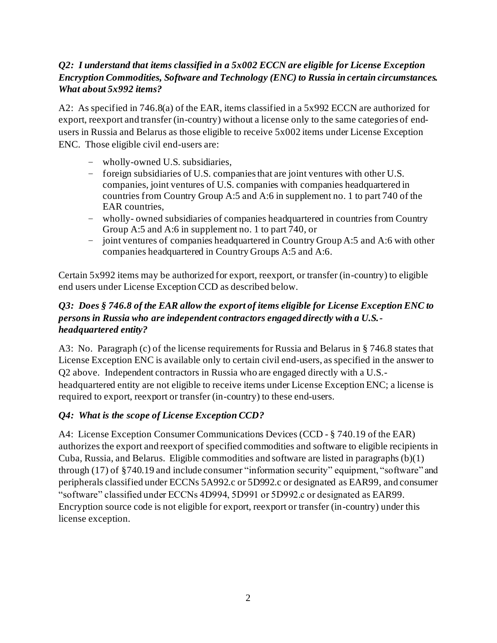# *Q2: I understand that items classified in a 5x002 ECCN are eligible for License Exception Encryption Commodities, Software and Technology (ENC) to Russia in certain circumstances. What about 5x992 items?*

A2: As specified in 746.8(a) of the EAR, items classified in a 5x992 ECCN are authorized for export, reexport and transfer (in-country) without a license only to the same categories of endusers in Russia and Belarus as those eligible to receive 5x002 items under License Exception ENC. Those eligible civil end-users are:

- wholly-owned U.S. subsidiaries,
- foreign subsidiaries of U.S. companies that are joint ventures with other U.S. companies, joint ventures of U.S. companies with companies headquartered in countries from Country Group A:5 and A:6 in supplement no. 1 to part 740 of the EAR countries,
- wholly- owned subsidiaries of companies headquartered in countries from Country Group A:5 and A:6 in supplement no. 1 to part 740, or
- joint ventures of companies headquartered in Country Group A:5 and A:6 with other companies headquartered in Country Groups A:5 and A:6.

Certain 5x992 items may be authorized for export, reexport, or transfer (in-country) to eligible end users under License Exception CCD as described below.

# *Q3: Does § 746.8 of the EAR allow the export of items eligible for License Exception ENC to persons in Russia who are independent contractors engaged directly with a U.S. headquartered entity?*

A3: No. Paragraph (c) of the license requirements for Russia and Belarus in § 746.8 states that License Exception ENC is available only to certain civil end-users, as specified in the answer to Q2 above. Independent contractors in Russia who are engaged directly with a U.S. headquartered entity are not eligible to receive items under License Exception ENC; a license is required to export, reexport or transfer (in-country) to these end-users.

# *Q4: What is the scope of License Exception CCD?*

A4: License Exception Consumer Communications Devices (CCD - § 740.19 of the EAR) authorizes the export and reexport of specified commodities and software to eligible recipients in Cuba, Russia, and Belarus. Eligible commodities and software are listed in paragraphs (b)(1) through (17) of §740.19 and include consumer "information security" equipment, "software" and peripherals classified under ECCNs 5A992.c or 5D992.c or designated as EAR99, and consumer "software" classified under ECCNs 4D994, 5D991 or 5D992.c or designated as EAR99. Encryption source code is not eligible for export, reexport or transfer (in-country) under this license exception.